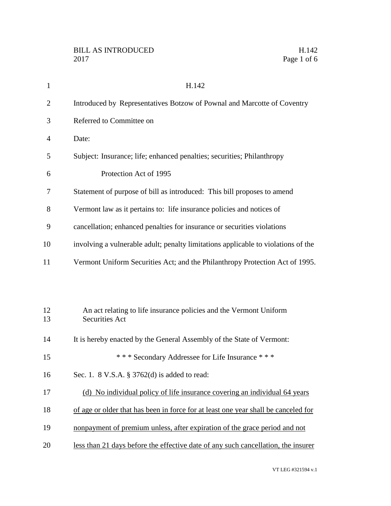| $\mathbf{1}$   | H.142                                                                                       |
|----------------|---------------------------------------------------------------------------------------------|
| $\overline{2}$ | Introduced by Representatives Botzow of Pownal and Marcotte of Coventry                     |
| 3              | Referred to Committee on                                                                    |
| $\overline{4}$ | Date:                                                                                       |
| 5              | Subject: Insurance; life; enhanced penalties; securities; Philanthropy                      |
| 6              | Protection Act of 1995                                                                      |
| 7              | Statement of purpose of bill as introduced: This bill proposes to amend                     |
| 8              | Vermont law as it pertains to: life insurance policies and notices of                       |
| 9              | cancellation; enhanced penalties for insurance or securities violations                     |
| 10             | involving a vulnerable adult; penalty limitations applicable to violations of the           |
| 11             | Vermont Uniform Securities Act; and the Philanthropy Protection Act of 1995.                |
|                |                                                                                             |
|                |                                                                                             |
| 12<br>13       | An act relating to life insurance policies and the Vermont Uniform<br><b>Securities Act</b> |
| 14             | It is hereby enacted by the General Assembly of the State of Vermont:                       |
| 15             | *** Secondary Addressee for Life Insurance ***                                              |
| 16             | Sec. 1. 8 V.S.A. § 3762(d) is added to read:                                                |
| 17             | (d) No individual policy of life insurance covering an individual 64 years                  |
| 18             | of age or older that has been in force for at least one year shall be canceled for          |
| 19             | nonpayment of premium unless, after expiration of the grace period and not                  |
| 20             | less than 21 days before the effective date of any such cancellation, the insurer           |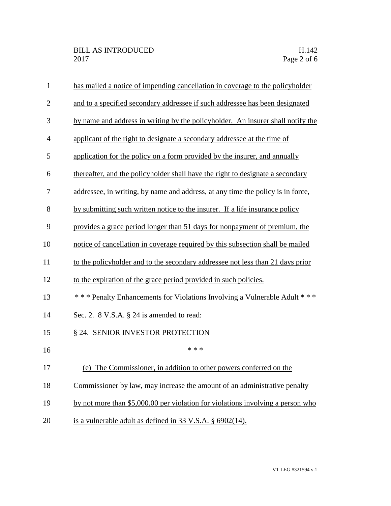| $\mathbf{1}$   | has mailed a notice of impending cancellation in coverage to the policyholder   |
|----------------|---------------------------------------------------------------------------------|
| $\overline{2}$ | and to a specified secondary addressee if such addressee has been designated    |
| 3              | by name and address in writing by the policyholder. An insurer shall notify the |
| 4              | applicant of the right to designate a secondary addressee at the time of        |
| 5              | application for the policy on a form provided by the insurer, and annually      |
| 6              | thereafter, and the policyholder shall have the right to designate a secondary  |
| 7              | addressee, in writing, by name and address, at any time the policy is in force, |
| 8              | by submitting such written notice to the insurer. If a life insurance policy    |
| 9              | provides a grace period longer than 51 days for nonpayment of premium, the      |
| 10             | notice of cancellation in coverage required by this subsection shall be mailed  |
| 11             | to the policyholder and to the secondary addressee not less than 21 days prior  |
| 12             | to the expiration of the grace period provided in such policies.                |
| 13             | *** Penalty Enhancements for Violations Involving a Vulnerable Adult ***        |
| 14             | Sec. 2. 8 V.S.A. § 24 is amended to read:                                       |
| 15             | § 24. SENIOR INVESTOR PROTECTION                                                |
| 16             | * * *                                                                           |
| 17             | (e) The Commissioner, in addition to other powers conferred on the              |
| 18             | Commissioner by law, may increase the amount of an administrative penalty       |
| 19             | by not more than \$5,000.00 per violation for violations involving a person who |
| 20             | is a vulnerable adult as defined in $33 \text{ V.S.A. }$ \$6902(14).            |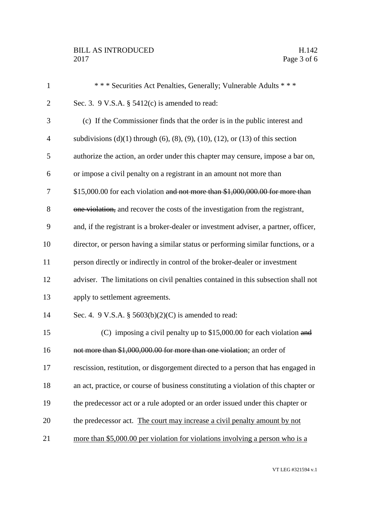| $\mathbf{1}$   | *** Securities Act Penalties, Generally; Vulnerable Adults ***                                    |
|----------------|---------------------------------------------------------------------------------------------------|
| $\overline{2}$ | Sec. 3. 9 V.S.A. $\S$ 5412(c) is amended to read:                                                 |
| 3              | (c) If the Commissioner finds that the order is in the public interest and                        |
| $\overline{4}$ | subdivisions $(d)(1)$ through $(6)$ , $(8)$ , $(9)$ , $(10)$ , $(12)$ , or $(13)$ of this section |
| 5              | authorize the action, an order under this chapter may censure, impose a bar on,                   |
| 6              | or impose a civil penalty on a registrant in an amount not more than                              |
| 7              | $$15,000.00$ for each violation and not more than $$1,000,000.00$ for more than                   |
| 8              | one violation, and recover the costs of the investigation from the registrant,                    |
| 9              | and, if the registrant is a broker-dealer or investment adviser, a partner, officer,              |
| 10             | director, or person having a similar status or performing similar functions, or a                 |
| 11             | person directly or indirectly in control of the broker-dealer or investment                       |
| 12             | adviser. The limitations on civil penalties contained in this subsection shall not                |
| 13             | apply to settlement agreements.                                                                   |
| 14             | Sec. 4. 9 V.S.A. § $5603(b)(2)(C)$ is amended to read:                                            |
| 15             | (C) imposing a civil penalty up to $$15,000.00$ for each violation and                            |
| 16             | not more than \$1,000,000.00 for more than one violation; an order of                             |
| 17             | rescission, restitution, or disgorgement directed to a person that has engaged in                 |
| 18             | an act, practice, or course of business constituting a violation of this chapter or               |
| 19             | the predecessor act or a rule adopted or an order issued under this chapter or                    |
| 20             | the predecessor act. The court may increase a civil penalty amount by not                         |
| 21             | more than \$5,000.00 per violation for violations involving a person who is a                     |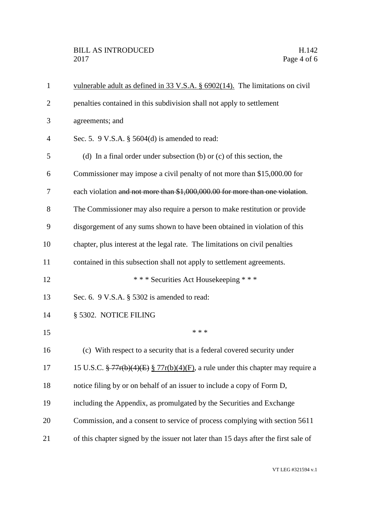| $\mathbf{1}$   | vulnerable adult as defined in 33 V.S.A. $\S$ 6902(14). The limitations on civil                           |
|----------------|------------------------------------------------------------------------------------------------------------|
| 2              | penalties contained in this subdivision shall not apply to settlement                                      |
| 3              | agreements; and                                                                                            |
| $\overline{4}$ | Sec. 5. 9 V.S.A. $\S$ 5604(d) is amended to read:                                                          |
| 5              | (d) In a final order under subsection (b) or $(c)$ of this section, the                                    |
| 6              | Commissioner may impose a civil penalty of not more than \$15,000.00 for                                   |
| 7              | each violation and not more than \$1,000,000.00 for more than one violation.                               |
| 8              | The Commissioner may also require a person to make restitution or provide                                  |
| 9              | disgorgement of any sums shown to have been obtained in violation of this                                  |
| 10             | chapter, plus interest at the legal rate. The limitations on civil penalties                               |
| 11             | contained in this subsection shall not apply to settlement agreements.                                     |
| 12             | *** Securities Act Housekeeping ***                                                                        |
| 13             | Sec. 6. 9 V.S.A. § 5302 is amended to read:                                                                |
| 14             | § 5302. NOTICE FILING                                                                                      |
| 15             | * * *                                                                                                      |
| 16             | (c) With respect to a security that is a federal covered security under                                    |
| 17             | 15 U.S.C. $\frac{27}{5}$ 77r(b)(4)(E) $\frac{27}{5}$ 77r(b)(4)(F), a rule under this chapter may require a |
| 18             | notice filing by or on behalf of an issuer to include a copy of Form D,                                    |
| 19             | including the Appendix, as promulgated by the Securities and Exchange                                      |
| 20             | Commission, and a consent to service of process complying with section 5611                                |
| 21             | of this chapter signed by the issuer not later than 15 days after the first sale of                        |
|                |                                                                                                            |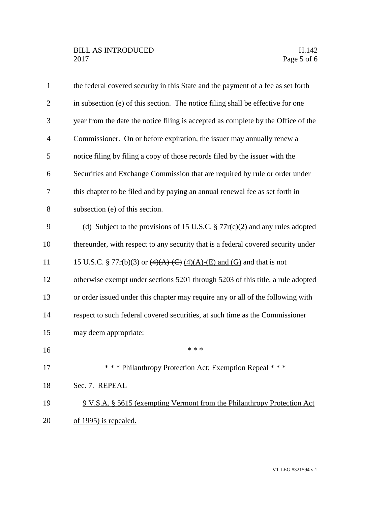| $\mathbf{1}$   | the federal covered security in this State and the payment of a fee as set forth  |
|----------------|-----------------------------------------------------------------------------------|
| $\overline{2}$ | in subsection (e) of this section. The notice filing shall be effective for one   |
| 3              | year from the date the notice filing is accepted as complete by the Office of the |
| $\overline{4}$ | Commissioner. On or before expiration, the issuer may annually renew a            |
| 5              | notice filing by filing a copy of those records filed by the issuer with the      |
| 6              | Securities and Exchange Commission that are required by rule or order under       |
| 7              | this chapter to be filed and by paying an annual renewal fee as set forth in      |
| 8              | subsection (e) of this section.                                                   |
| 9              | (d) Subject to the provisions of 15 U.S.C. $\S 77r(c)(2)$ and any rules adopted   |
| 10             | thereunder, with respect to any security that is a federal covered security under |
| 11             | 15 U.S.C. § 77r(b)(3) or $(4)(A)$ (C) $(4)(A)$ -(E) and (G) and that is not       |
| 12             | otherwise exempt under sections 5201 through 5203 of this title, a rule adopted   |
| 13             | or order issued under this chapter may require any or all of the following with   |
| 14             | respect to such federal covered securities, at such time as the Commissioner      |
| 15             | may deem appropriate:                                                             |
| 16             | * * *                                                                             |
| 17             | *** Philanthropy Protection Act; Exemption Repeal ***                             |
| 18             | Sec. 7. REPEAL                                                                    |
| 19             | 9 V.S.A. § 5615 (exempting Vermont from the Philanthropy Protection Act)          |
| 20             | of 1995) is repealed.                                                             |